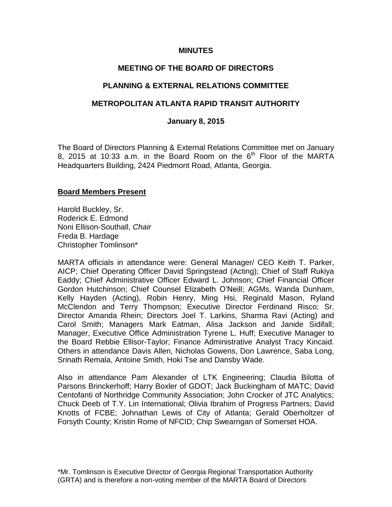### **MINUTES**

## **MEETING OF THE BOARD OF DIRECTORS**

## **PLANNING & EXTERNAL RELATIONS COMMITTEE**

## **METROPOLITAN ATLANTA RAPID TRANSIT AUTHORITY**

#### **January 8, 2015**

The Board of Directors Planning & External Relations Committee met on January 8, 2015 at 10:33 a.m. in the Board Room on the  $6<sup>th</sup>$  Floor of the MARTA Headquarters Building, 2424 Piedmont Road, Atlanta, Georgia.

#### **Board Members Present**

Harold Buckley, Sr. Roderick E. Edmond Noni Ellison-Southall, *Chair*  Freda B. Hardage Christopher Tomlinson\*

MARTA officials in attendance were: General Manager/ CEO Keith T. Parker, AICP; Chief Operating Officer David Springstead (Acting); Chief of Staff Rukiya Eaddy; Chief Administrative Officer Edward L. Johnson; Chief Financial Officer Gordon Hutchinson; Chief Counsel Elizabeth O'Neill; AGMs, Wanda Dunham, Kelly Hayden (Acting), Robin Henry, Ming Hsi, Reginald Mason, Ryland McClendon and Terry Thompson; Executive Director Ferdinand Risco; Sr. Director Amanda Rhein; Directors Joel T. Larkins, Sharma Ravi (Acting) and Carol Smith; Managers Mark Eatman, Alisa Jackson and Janide Sidifall; Manager, Executive Office Administration Tyrene L. Huff; Executive Manager to the Board Rebbie Ellisor-Taylor; Finance Administrative Analyst Tracy Kincaid. Others in attendance Davis Allen, Nicholas Gowens, Don Lawrence, Saba Long, Srinath Remala, Antoine Smith, Hoki Tse and Dansby Wade.

Also in attendance Pam Alexander of LTK Engineering; Claudia Bilotta of Parsons Brinckerhoff; Harry Boxler of GDOT; Jack Buckingham of MATC; David Centofanti of Northridge Community Association; John Crocker of JTC Analytics; Chuck Deeb of T.Y. Lin International; Olivia Ibrahim of Progress Partners; David Knotts of FCBE; Johnathan Lewis of City of Atlanta; Gerald Oberholtzer of Forsyth County; Kristin Rome of NFCID; Chip Swearngan of Somerset HOA.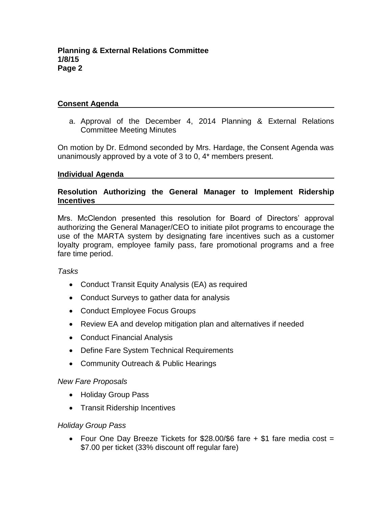## **Consent Agenda**

a. Approval of the December 4, 2014 Planning & External Relations Committee Meeting Minutes

On motion by Dr. Edmond seconded by Mrs. Hardage, the Consent Agenda was unanimously approved by a vote of 3 to 0, 4\* members present.

#### **Individual Agenda**

## **Resolution Authorizing the General Manager to Implement Ridership Incentives**

Mrs. McClendon presented this resolution for Board of Directors' approval authorizing the General Manager/CEO to initiate pilot programs to encourage the use of the MARTA system by designating fare incentives such as a customer loyalty program, employee family pass, fare promotional programs and a free fare time period.

#### *Tasks*

- Conduct Transit Equity Analysis (EA) as required
- Conduct Surveys to gather data for analysis
- Conduct Employee Focus Groups
- Review EA and develop mitigation plan and alternatives if needed
- Conduct Financial Analysis
- Define Fare System Technical Requirements
- Community Outreach & Public Hearings

## *New Fare Proposals*

- Holiday Group Pass
- Transit Ridership Incentives

## *Holiday Group Pass*

• Four One Day Breeze Tickets for  $$28.00$ /\$6 fare  $+$  \$1 fare media cost = \$7.00 per ticket (33% discount off regular fare)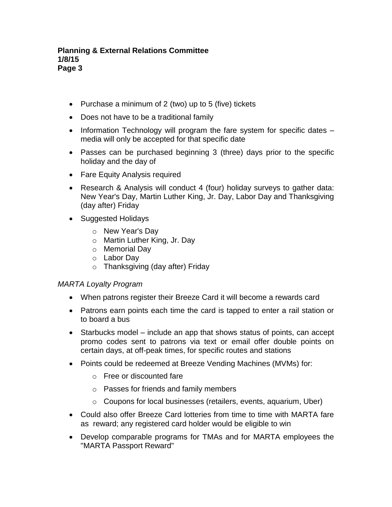- Purchase a minimum of 2 (two) up to 5 (five) tickets
- Does not have to be a traditional family
- Information Technology will program the fare system for specific dates  $$ media will only be accepted for that specific date
- Passes can be purchased beginning 3 (three) days prior to the specific holiday and the day of
- Fare Equity Analysis required
- Research & Analysis will conduct 4 (four) holiday surveys to gather data: New Year's Day, Martin Luther King, Jr. Day, Labor Day and Thanksgiving (day after) Friday
- Suggested Holidays
	- o New Year's Day
	- o Martin Luther King, Jr. Day
	- o Memorial Day
	- o Labor Day
	- o Thanksgiving (day after) Friday

## *MARTA Loyalty Program*

- When patrons register their Breeze Card it will become a rewards card
- Patrons earn points each time the card is tapped to enter a rail station or to board a bus
- Starbucks model include an app that shows status of points, can accept promo codes sent to patrons via text or email offer double points on certain days, at off-peak times, for specific routes and stations
- Points could be redeemed at Breeze Vending Machines (MVMs) for:
	- o Free or discounted fare
	- o Passes for friends and family members
	- o Coupons for local businesses (retailers, events, aquarium, Uber)
- Could also offer Breeze Card lotteries from time to time with MARTA fare as reward; any registered card holder would be eligible to win
- Develop comparable programs for TMAs and for MARTA employees the "MARTA Passport Reward"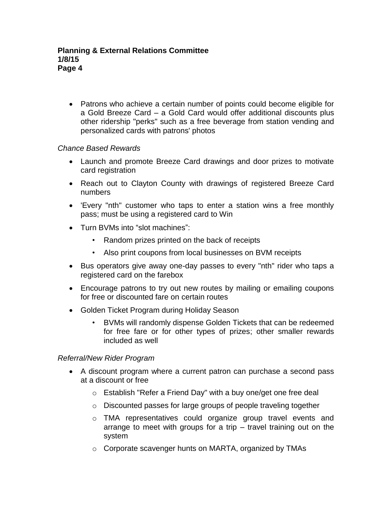Patrons who achieve a certain number of points could become eligible for a Gold Breeze Card – a Gold Card would offer additional discounts plus other ridership "perks" such as a free beverage from station vending and personalized cards with patrons' photos

## *Chance Based Rewards*

- Launch and promote Breeze Card drawings and door prizes to motivate card registration
- Reach out to Clayton County with drawings of registered Breeze Card numbers
- 'Every "nth" customer who taps to enter a station wins a free monthly pass; must be using a registered card to Win
- Turn BVMs into "slot machines":
	- Random prizes printed on the back of receipts
	- Also print coupons from local businesses on BVM receipts
- Bus operators give away one-day passes to every "nth" rider who taps a registered card on the farebox
- Encourage patrons to try out new routes by mailing or emailing coupons for free or discounted fare on certain routes
- Golden Ticket Program during Holiday Season
	- BVMs will randomly dispense Golden Tickets that can be redeemed for free fare or for other types of prizes; other smaller rewards included as well

## *Referral/New Rider Program*

- A discount program where a current patron can purchase a second pass at a discount or free
	- o Establish "Refer a Friend Day" with a buy one/get one free deal
	- o Discounted passes for large groups of people traveling together
	- o TMA representatives could organize group travel events and arrange to meet with groups for a trip – travel training out on the system
	- o Corporate scavenger hunts on MARTA, organized by TMAs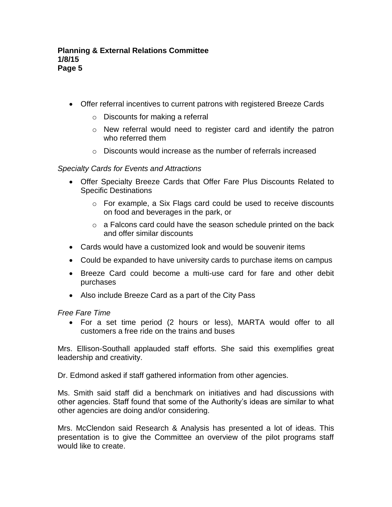- Offer referral incentives to current patrons with registered Breeze Cards
	- o Discounts for making a referral
	- o New referral would need to register card and identify the patron who referred them
	- $\circ$  Discounts would increase as the number of referrals increased

## *Specialty Cards for Events and Attractions*

- Offer Specialty Breeze Cards that Offer Fare Plus Discounts Related to Specific Destinations
	- o For example, a Six Flags card could be used to receive discounts on food and beverages in the park, or
	- o a Falcons card could have the season schedule printed on the back and offer similar discounts
- Cards would have a customized look and would be souvenir items
- Could be expanded to have university cards to purchase items on campus
- Breeze Card could become a multi-use card for fare and other debit purchases
- Also include Breeze Card as a part of the City Pass

*Free Fare Time*

 For a set time period (2 hours or less), MARTA would offer to all customers a free ride on the trains and buses

Mrs. Ellison-Southall applauded staff efforts. She said this exemplifies great leadership and creativity.

Dr. Edmond asked if staff gathered information from other agencies.

Ms. Smith said staff did a benchmark on initiatives and had discussions with other agencies. Staff found that some of the Authority's ideas are similar to what other agencies are doing and/or considering.

Mrs. McClendon said Research & Analysis has presented a lot of ideas. This presentation is to give the Committee an overview of the pilot programs staff would like to create.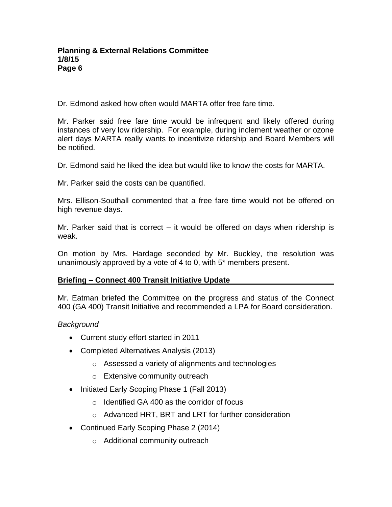Dr. Edmond asked how often would MARTA offer free fare time.

Mr. Parker said free fare time would be infrequent and likely offered during instances of very low ridership. For example, during inclement weather or ozone alert days MARTA really wants to incentivize ridership and Board Members will be notified.

Dr. Edmond said he liked the idea but would like to know the costs for MARTA.

Mr. Parker said the costs can be quantified.

Mrs. Ellison-Southall commented that a free fare time would not be offered on high revenue days.

Mr. Parker said that is correct – it would be offered on days when ridership is weak.

On motion by Mrs. Hardage seconded by Mr. Buckley, the resolution was unanimously approved by a vote of 4 to 0, with 5\* members present.

## **Briefing – Connect 400 Transit Initiative Update**

Mr. Eatman briefed the Committee on the progress and status of the Connect 400 (GA 400) Transit Initiative and recommended a LPA for Board consideration.

## *Background*

- Current study effort started in 2011
- Completed Alternatives Analysis (2013)
	- o Assessed a variety of alignments and technologies
	- o Extensive community outreach
- Initiated Early Scoping Phase 1 (Fall 2013)
	- o Identified GA 400 as the corridor of focus
	- o Advanced HRT, BRT and LRT for further consideration
- Continued Early Scoping Phase 2 (2014)
	- o Additional community outreach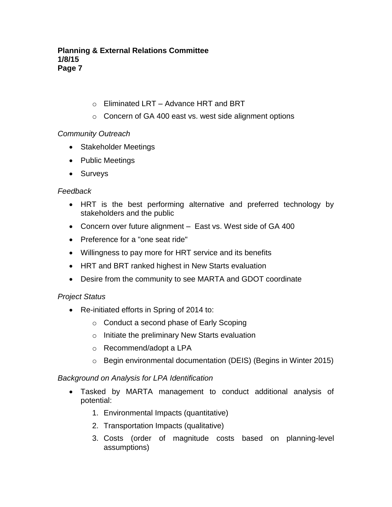- o Eliminated LRT Advance HRT and BRT
- o Concern of GA 400 east vs. west side alignment options

# *Community Outreach*

- Stakeholder Meetings
- Public Meetings
- Surveys

## *Feedback*

- HRT is the best performing alternative and preferred technology by stakeholders and the public
- Concern over future alignment East vs. West side of GA 400
- Preference for a "one seat ride"
- Willingness to pay more for HRT service and its benefits
- HRT and BRT ranked highest in New Starts evaluation
- Desire from the community to see MARTA and GDOT coordinate

# *Project Status*

- Re-initiated efforts in Spring of 2014 to:
	- o Conduct a second phase of Early Scoping
	- o Initiate the preliminary New Starts evaluation
	- o Recommend/adopt a LPA
	- o Begin environmental documentation (DEIS) (Begins in Winter 2015)

## *Background on Analysis for LPA Identification*

- Tasked by MARTA management to conduct additional analysis of potential:
	- 1. Environmental Impacts (quantitative)
	- 2. Transportation Impacts (qualitative)
	- 3. Costs (order of magnitude costs based on planning-level assumptions)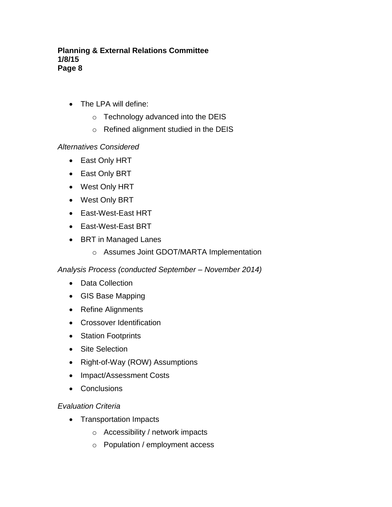- The LPA will define:
	- o Technology advanced into the DEIS
	- o Refined alignment studied in the DEIS

## *Alternatives Considered*

- East Only HRT
- East Only BRT
- West Only HRT
- West Only BRT
- East-West-East HRT
- East-West-East BRT
- BRT in Managed Lanes
	- o Assumes Joint GDOT/MARTA Implementation

*Analysis Process (conducted September – November 2014)*

- Data Collection
- GIS Base Mapping
- Refine Alignments
- Crossover Identification
- Station Footprints
- Site Selection
- Right-of-Way (ROW) Assumptions
- Impact/Assessment Costs
- Conclusions

## *Evaluation Criteria*

- Transportation Impacts
	- o Accessibility / network impacts
	- o Population / employment access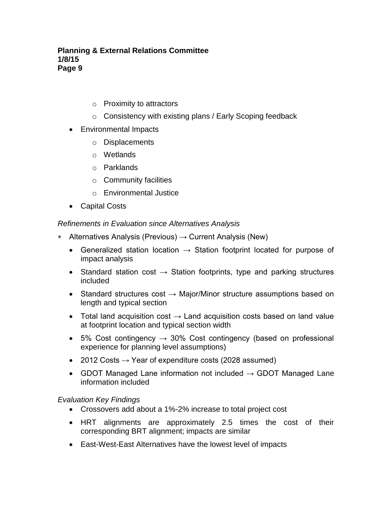- o Proximity to attractors
- o Consistency with existing plans / Early Scoping feedback
- Environmental Impacts
	- o Displacements
	- o Wetlands
	- o Parklands
	- o Community facilities
	- o Environmental Justice
- Capital Costs

*Refinements in Evaluation since Alternatives Analysis*

- **\*** Alternatives Analysis (Previous)  $\rightarrow$  Current Analysis (New)
	- Generalized station location  $\rightarrow$  Station footprint located for purpose of impact analysis
	- Standard station cost  $\rightarrow$  Station footprints, type and parking structures included
	- Standard structures cost  $→$  Major/Minor structure assumptions based on length and typical section
	- Total land acquisition cost  $\rightarrow$  Land acquisition costs based on land value at footprint location and typical section width
	- 5% Cost contingency  $→ 30%$  Cost contingency (based on professional experience for planning level assumptions)
	- 2012 Costs  $\rightarrow$  Year of expenditure costs (2028 assumed)
	- GDOT Managed Lane information not included  $\rightarrow$  GDOT Managed Lane information included

## *Evaluation Key Findings*

- Crossovers add about a 1%-2% increase to total project cost
- HRT alignments are approximately 2.5 times the cost of their corresponding BRT alignment; impacts are similar
- East-West-East Alternatives have the lowest level of impacts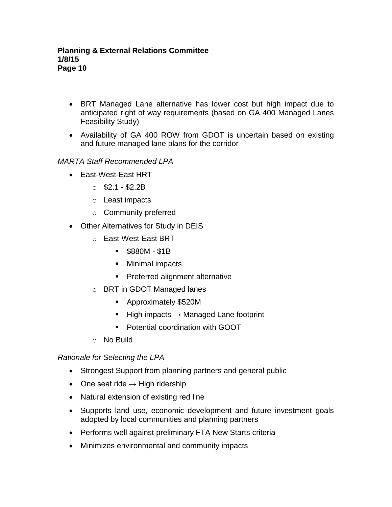- BRT Managed Lane alternative has lower cost but high impact due to anticipated right of way requirements (based on GA 400 Managed Lanes Feasibility Study)
- Availability of GA 400 ROW from GDOT is uncertain based on existing and future managed lane plans for the corridor

# *MARTA Staff Recommended LPA*

- East-West-East HRT
	- $\circ$  \$2.1 \$2.2B
	- o Least impacts
	- o Community preferred
- Other Alternatives for Study in DEIS
	- o East-West-East BRT
		- \$880M \$1B
		- **Minimal impacts**
		- **Preferred alignment alternative**
	- o BRT in GDOT Managed lanes
		- Approximately \$520M
		- High impacts  $\rightarrow$  Managed Lane footprint
		- Potential coordination with GOOT
	- o No Build

## *Rationale for Selecting the LPA*

- Strongest Support from planning partners and general public
- One seat ride  $\rightarrow$  High ridership
- Natural extension of existing red line
- Supports land use, economic development and future investment goals adopted by local communities and planning partners
- Performs well against preliminary FTA New Starts criteria
- Minimizes environmental and community impacts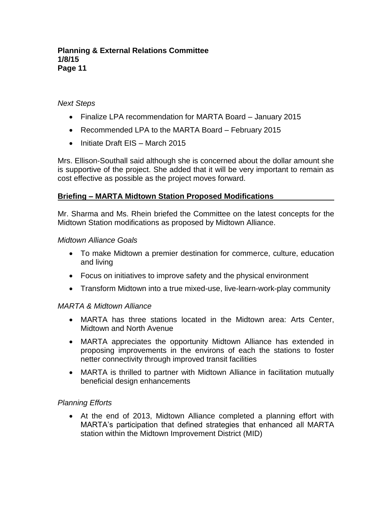## *Next Steps*

- Finalize LPA recommendation for MARTA Board January 2015
- Recommended LPA to the MARTA Board February 2015
- $\bullet$  Initiate Draft EIS March 2015

Mrs. Ellison-Southall said although she is concerned about the dollar amount she is supportive of the project. She added that it will be very important to remain as cost effective as possible as the project moves forward.

## **Briefing – MARTA Midtown Station Proposed Modifications**

Mr. Sharma and Ms. Rhein briefed the Committee on the latest concepts for the Midtown Station modifications as proposed by Midtown Alliance.

#### *Midtown Alliance Goals*

- To make Midtown a premier destination for commerce, culture, education and living
- Focus on initiatives to improve safety and the physical environment
- Transform Midtown into a true mixed-use, live-learn-work-play community

## *MARTA & Midtown Alliance*

- MARTA has three stations located in the Midtown area: Arts Center, Midtown and North Avenue
- MARTA appreciates the opportunity Midtown Alliance has extended in proposing improvements in the environs of each the stations to foster netter connectivity through improved transit facilities
- MARTA is thrilled to partner with Midtown Alliance in facilitation mutually beneficial design enhancements

## *Planning Efforts*

 At the end of 2013, Midtown Alliance completed a planning effort with MARTA's participation that defined strategies that enhanced all MARTA station within the Midtown Improvement District (MID)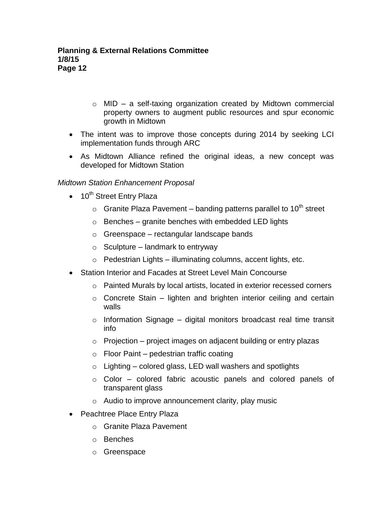- $\circ$  MID a self-taxing organization created by Midtown commercial property owners to augment public resources and spur economic growth in Midtown
- The intent was to improve those concepts during 2014 by seeking LCI implementation funds through ARC
- As Midtown Alliance refined the original ideas, a new concept was developed for Midtown Station

## *Midtown Station Enhancement Proposal*

- $\bullet$  10<sup>th</sup> Street Entry Plaza
	- $\circ$  Granite Plaza Pavement banding patterns parallel to 10<sup>th</sup> street
	- $\circ$  Benches granite benches with embedded LED lights
	- $\circ$  Greenspace rectangular landscape bands
	- $\circ$  Sculpture landmark to entryway
	- $\circ$  Pedestrian Lights illuminating columns, accent lights, etc.
- Station Interior and Facades at Street Level Main Concourse
	- $\circ$  Painted Murals by local artists, located in exterior recessed corners
	- $\circ$  Concrete Stain lighten and brighten interior ceiling and certain walls
	- $\circ$  Information Signage digital monitors broadcast real time transit info
	- $\circ$  Projection project images on adjacent building or entry plazas
	- $\circ$  Floor Paint pedestrian traffic coating
	- $\circ$  Lighting colored glass, LED wall washers and spotlights
	- o Color colored fabric acoustic panels and colored panels of transparent glass
	- $\circ$  Audio to improve announcement clarity, play music
- Peachtree Place Entry Plaza
	- o Granite Plaza Pavement
	- o Benches
	- o Greenspace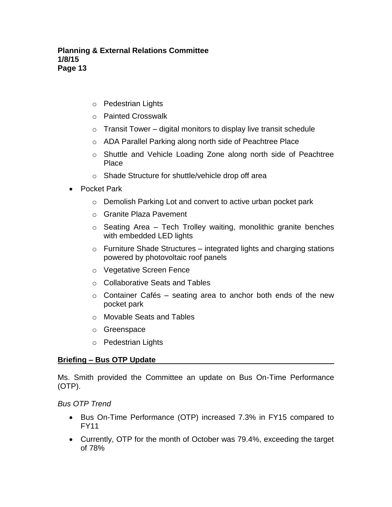- o Pedestrian Lights
- o Painted Crosswalk
- $\circ$  Transit Tower digital monitors to display live transit schedule
- o ADA Parallel Parking along north side of Peachtree Place
- o Shuttle and Vehicle Loading Zone along north side of Peachtree Place
- o Shade Structure for shuttle/vehicle drop off area
- Pocket Park
	- o Demolish Parking Lot and convert to active urban pocket park
	- o Granite Plaza Pavement
	- $\circ$  Seating Area Tech Trolley waiting, monolithic granite benches with embedded LED lights
	- $\circ$  Furniture Shade Structures integrated lights and charging stations powered by photovoltaic roof panels
	- o Vegetative Screen Fence
	- o Collaborative Seats and Tables
	- $\circ$  Container Cafés seating area to anchor both ends of the new pocket park
	- o Movable Seats and Tables
	- o Greenspace
	- o Pedestrian Lights

## **Briefing – Bus OTP Update**

Ms. Smith provided the Committee an update on Bus On-Time Performance (OTP).

*Bus OTP Trend*

- Bus On-Time Performance (OTP) increased 7.3% in FY15 compared to FY11
- Currently, OTP for the month of October was 79.4%, exceeding the target of 78%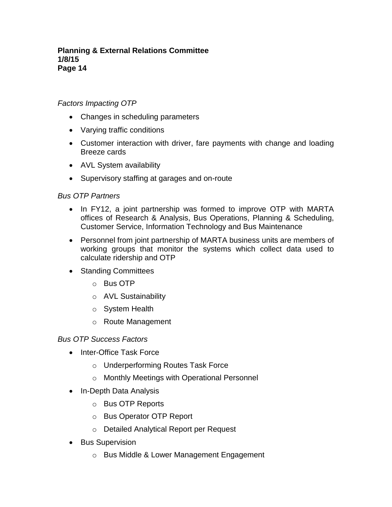## *Factors Impacting OTP*

- Changes in scheduling parameters
- Varying traffic conditions
- Customer interaction with driver, fare payments with change and loading Breeze cards
- AVL System availability
- Supervisory staffing at garages and on-route

## *Bus OTP Partners*

- In FY12, a joint partnership was formed to improve OTP with MARTA offices of Research & Analysis, Bus Operations, Planning & Scheduling, Customer Service, Information Technology and Bus Maintenance
- Personnel from joint partnership of MARTA business units are members of working groups that monitor the systems which collect data used to calculate ridership and OTP
- Standing Committees
	- o Bus OTP
	- o AVL Sustainability
	- o System Health
	- o Route Management

## *Bus OTP Success Factors*

- Inter-Office Task Force
	- o Underperforming Routes Task Force
	- o Monthly Meetings with Operational Personnel
- In-Depth Data Analysis
	- o Bus OTP Reports
	- o Bus Operator OTP Report
	- o Detailed Analytical Report per Request
- Bus Supervision
	- o Bus Middle & Lower Management Engagement